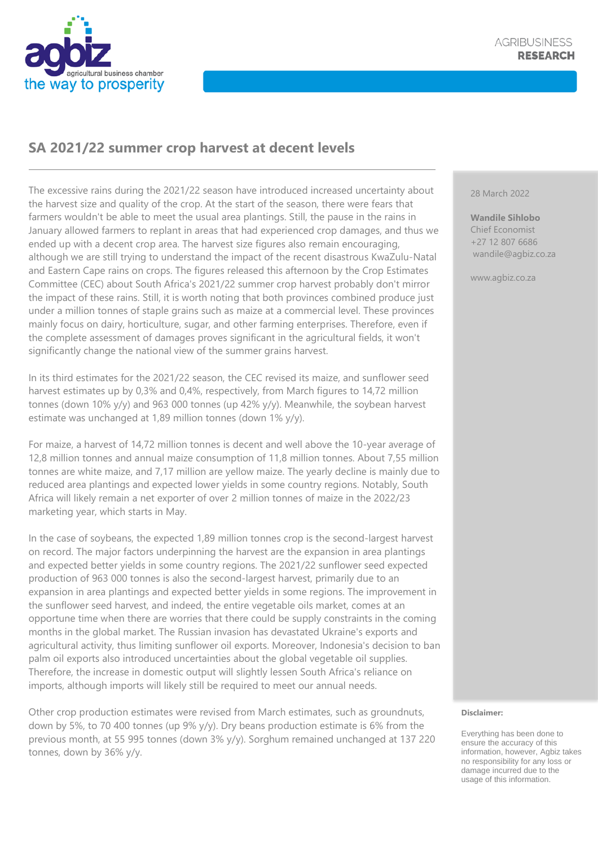

## **SA 2021/22 summer crop harvest at decent levels**

The excessive rains during the 2021/22 season have introduced increased uncertainty about the harvest size and quality of the crop. At the start of the season, there were fears that farmers wouldn't be able to meet the usual area plantings. Still, the pause in the rains in January allowed farmers to replant in areas that had experienced crop damages, and thus we ended up with a decent crop area. The harvest size figures also remain encouraging, although we are still trying to understand the impact of the recent disastrous KwaZulu-Natal and Eastern Cape rains on crops. The figures released this afternoon by the Crop Estimates Committee (CEC) about South Africa's 2021/22 summer crop harvest probably don't mirror the impact of these rains. Still, it is worth noting that both provinces combined produce just under a million tonnes of staple grains such as maize at a commercial level. These provinces mainly focus on dairy, horticulture, sugar, and other farming enterprises. Therefore, even if the complete assessment of damages proves significant in the agricultural fields, it won't significantly change the national view of the summer grains harvest.

In its third estimates for the 2021/22 season, the CEC revised its maize, and sunflower seed harvest estimates up by 0,3% and 0,4%, respectively, from March figures to 14,72 million tonnes (down 10% y/y) and 963 000 tonnes (up 42% y/y). Meanwhile, the soybean harvest estimate was unchanged at 1,89 million tonnes (down 1% y/y).

For maize, a harvest of 14,72 million tonnes is decent and well above the 10-year average of 12,8 million tonnes and annual maize consumption of 11,8 million tonnes. About 7,55 million tonnes are white maize, and 7,17 million are yellow maize. The yearly decline is mainly due to reduced area plantings and expected lower yields in some country regions. Notably, South Africa will likely remain a net exporter of over 2 million tonnes of maize in the 2022/23 marketing year, which starts in May.

In the case of soybeans, the expected 1,89 million tonnes crop is the second-largest harvest on record. The major factors underpinning the harvest are the expansion in area plantings and expected better yields in some country regions. The 2021/22 sunflower seed expected production of 963 000 tonnes is also the second-largest harvest, primarily due to an expansion in area plantings and expected better yields in some regions. The improvement in the sunflower seed harvest, and indeed, the entire vegetable oils market, comes at an opportune time when there are worries that there could be supply constraints in the coming months in the global market. The Russian invasion has devastated Ukraine's exports and agricultural activity, thus limiting sunflower oil exports. Moreover, Indonesia's decision to ban palm oil exports also introduced uncertainties about the global vegetable oil supplies. Therefore, the increase in domestic output will slightly lessen South Africa's reliance on imports, although imports will likely still be required to meet our annual needs.

Other crop production estimates were revised from March estimates, such as groundnuts, down by 5%, to 70 400 tonnes (up 9% y/y). Dry beans production estimate is 6% from the previous month, at 55 995 tonnes (down 3% y/y). Sorghum remained unchanged at 137 220 tonnes, down by 36% y/y.

## 28 March 2022

**Wandile Sihlobo** Chief Economist +27 12 807 6686 wandile@agbiz.co.za

www.agbiz.co.za

## **Disclaimer:**

Everything has been done to ensure the accuracy of this information, however, Agbiz takes no responsibility for any loss or damage incurred due to the usage of this information.